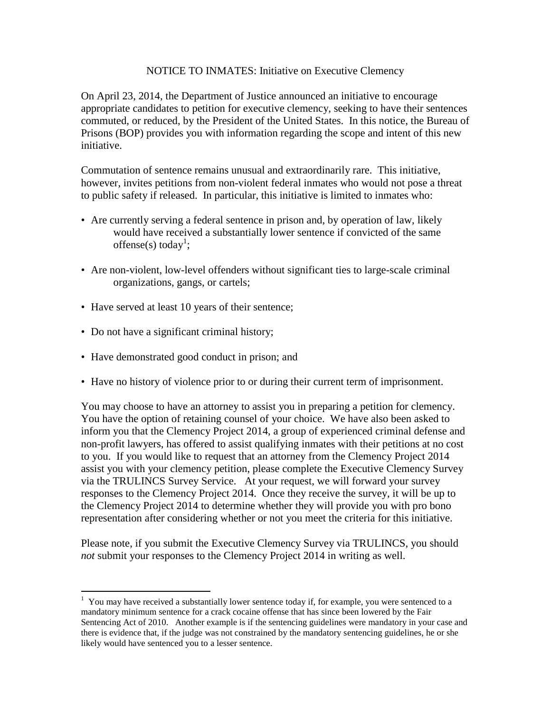## NOTICE TO INMATES: Initiative on Executive Clemency

On April 23, 2014, the Department of Justice announced an initiative to encourage appropriate candidates to petition for executive clemency, seeking to have their sentences commuted, or reduced, by the President of the United States. In this notice, the Bureau of Prisons (BOP) provides you with information regarding the scope and intent of this new initiative.

Commutation of sentence remains unusual and extraordinarily rare. This initiative, however, invites petitions from non-violent federal inmates who would not pose a threat to public safety if released. In particular, this initiative is limited to inmates who:

- Are currently serving a federal sentence in prison and, by operation of law, likely would have received a substantially lower sentence if convicted of the same offense(s) today<sup>1</sup>;
- Are non-violent, low-level offenders without significant ties to large-scale criminal organizations, gangs, or cartels;
- Have served at least 10 years of their sentence;
- Do not have a significant criminal history;
- Have demonstrated good conduct in prison; and
- Have no history of violence prior to or during their current term of imprisonment.

You may choose to have an attorney to assist you in preparing a petition for clemency. You have the option of retaining counsel of your choice. We have also been asked to inform you that the Clemency Project 2014, a group of experienced criminal defense and non-profit lawyers, has offered to assist qualifying inmates with their petitions at no cost to you. If you would like to request that an attorney from the Clemency Project 2014 assist you with your clemency petition, please complete the Executive Clemency Survey via the TRULINCS Survey Service. At your request, we will forward your survey responses to the Clemency Project 2014. Once they receive the survey, it will be up to the Clemency Project 2014 to determine whether they will provide you with pro bono representation after considering whether or not you meet the criteria for this initiative.

Please note, if you submit the Executive Clemency Survey via TRULINCS, you should *not* submit your responses to the Clemency Project 2014 in writing as well.

 1 You may have received a substantially lower sentence today if, for example, you were sentenced to a mandatory minimum sentence for a crack cocaine offense that has since been lowered by the Fair Sentencing Act of 2010. Another example is if the sentencing guidelines were mandatory in your case and there is evidence that, if the judge was not constrained by the mandatory sentencing guidelines, he or she likely would have sentenced you to a lesser sentence.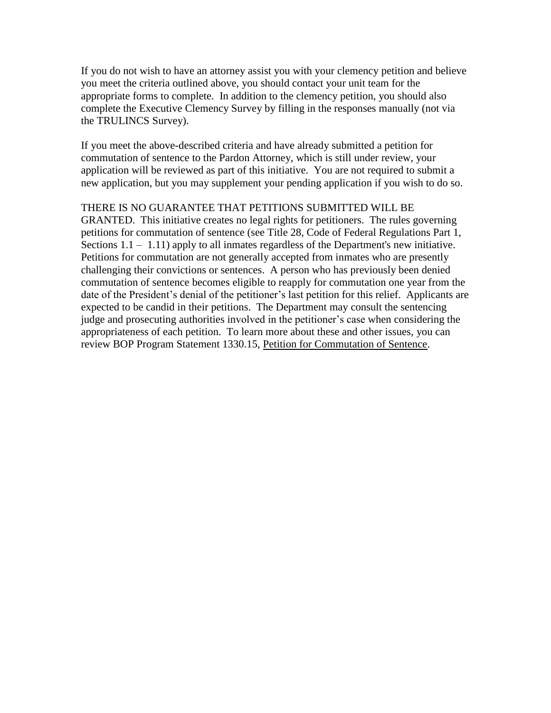If you do not wish to have an attorney assist you with your clemency petition and believe you meet the criteria outlined above, you should contact your unit team for the appropriate forms to complete. In addition to the clemency petition, you should also complete the Executive Clemency Survey by filling in the responses manually (not via the TRULINCS Survey).

If you meet the above-described criteria and have already submitted a petition for commutation of sentence to the Pardon Attorney, which is still under review, your application will be reviewed as part of this initiative. You are not required to submit a new application, but you may supplement your pending application if you wish to do so.

## THERE IS NO GUARANTEE THAT PETITIONS SUBMITTED WILL BE

GRANTED. This initiative creates no legal rights for petitioners. The rules governing petitions for commutation of sentence (see Title 28, Code of Federal Regulations Part 1, Sections  $1.1 - 1.11$ ) apply to all inmates regardless of the Department's new initiative. Petitions for commutation are not generally accepted from inmates who are presently challenging their convictions or sentences. A person who has previously been denied commutation of sentence becomes eligible to reapply for commutation one year from the date of the President's denial of the petitioner's last petition for this relief. Applicants are expected to be candid in their petitions. The Department may consult the sentencing judge and prosecuting authorities involved in the petitioner's case when considering the appropriateness of each petition. To learn more about these and other issues, you can review BOP Program Statement 1330.15, Petition for Commutation of Sentence.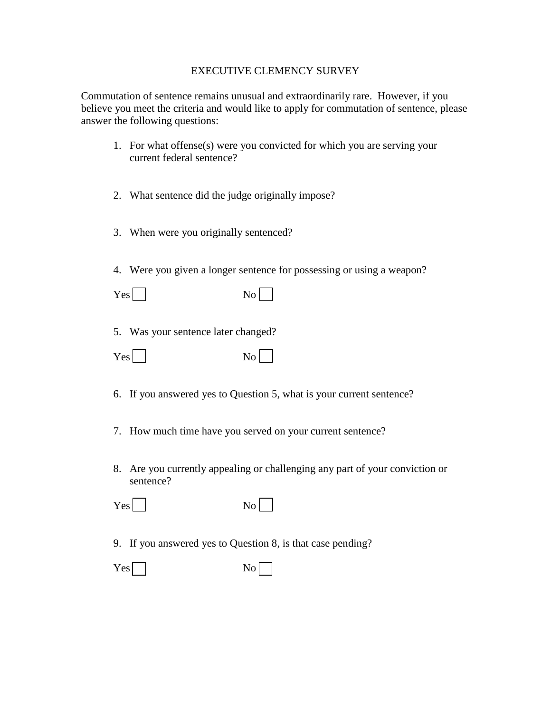## EXECUTIVE CLEMENCY SURVEY

Commutation of sentence remains unusual and extraordinarily rare. However, if you believe you meet the criteria and would like to apply for commutation of sentence, please answer the following questions:

- 1. For what offense(s) were you convicted for which you are serving your current federal sentence?
- 2. What sentence did the judge originally impose?
- 3. When were you originally sentenced?
- 4. Were you given a longer sentence for possessing or using a weapon?

5. Was your sentence later changed?

| Yes | No |
|-----|----|
|-----|----|

- 6. If you answered yes to Question 5, what is your current sentence?
- 7. How much time have you served on your current sentence?
- 8. Are you currently appealing or challenging any part of your conviction or sentence?

| Yes <sup> </sup> |  |  | No |
|------------------|--|--|----|
|------------------|--|--|----|

9. If you answered yes to Question 8, is that case pending?

| Yes <sup> </sup> | No |
|------------------|----|
|------------------|----|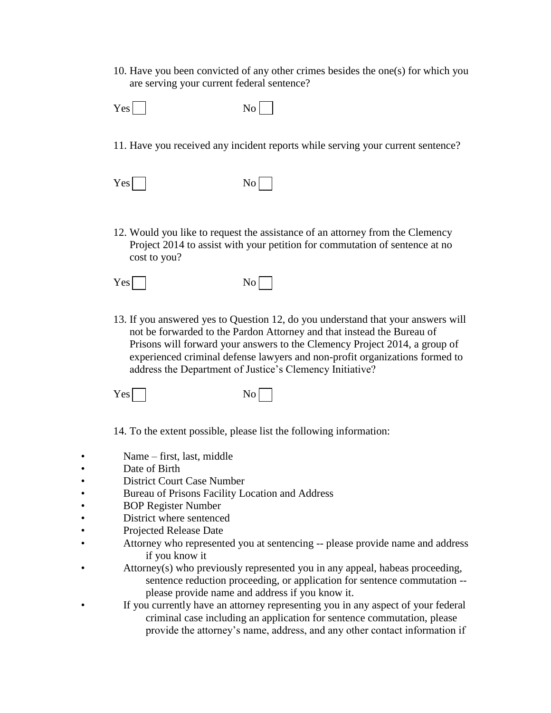10. Have you been convicted of any other crimes besides the one(s) for which you are serving your current federal sentence?

| Yes | $\mathrm{No}$ |
|-----|---------------|
|-----|---------------|

- 11. Have you received any incident reports while serving your current sentence?
- $Yes \Box$  No  $\Box$
- 12. Would you like to request the assistance of an attorney from the Clemency Project 2014 to assist with your petition for commutation of sentence at no cost to you?

| Yes | $\overline{N_{O}}$ |
|-----|--------------------|
|-----|--------------------|

13. If you answered yes to Question 12, do you understand that your answers will not be forwarded to the Pardon Attorney and that instead the Bureau of Prisons will forward your answers to the Clemency Project 2014, a group of experienced criminal defense lawyers and non-profit organizations formed to address the Department of Justice's Clemency Initiative?

 $Yes \Box$  No  $\Box$ 

14. To the extent possible, please list the following information:

- Name first, last, middle
- Date of Birth
- District Court Case Number
- Bureau of Prisons Facility Location and Address
- BOP Register Number
- District where sentenced
- Projected Release Date
- Attorney who represented you at sentencing -- please provide name and address if you know it
- Attorney(s) who previously represented you in any appeal, habeas proceeding, sentence reduction proceeding, or application for sentence commutation -please provide name and address if you know it.
- If you currently have an attorney representing you in any aspect of your federal criminal case including an application for sentence commutation, please provide the attorney's name, address, and any other contact information if